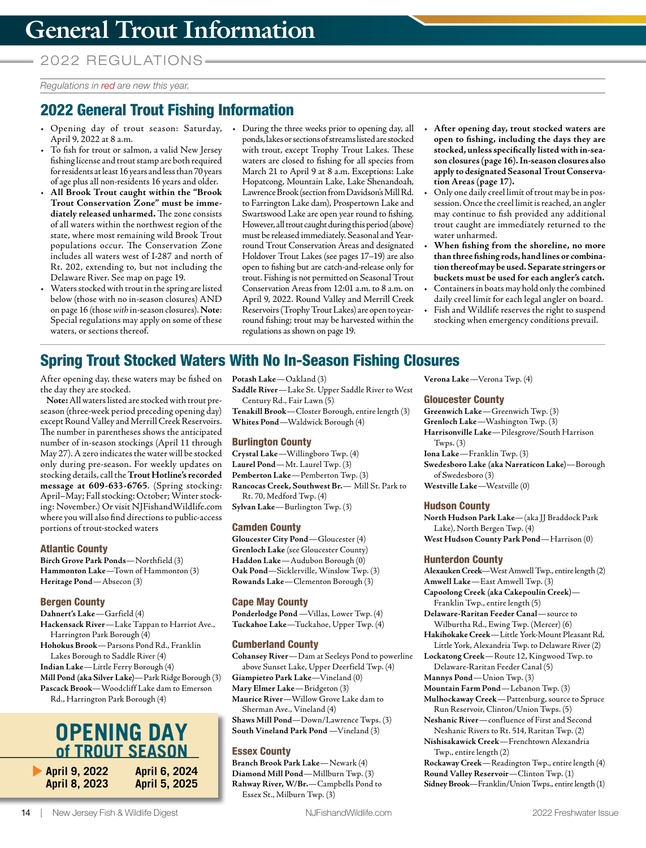## 2022 REGUL ATIONS

*Regulations in red are new this year.* 

# 2022 General Trout Fishing Information

- Opening day of trout season: Saturday, During the three weeks prior to opening day, all April 9, 2022 at 8 a.m.
- To fish for trout or salmon, a valid New Jersey fishing license and trout stamp are both required for residents at least 16 years and less than 70 years of age plus all non-residents 16 years and older.
- **All Brook Trout caught within the "Brook Trout Conservation Zone" must be immediately released unharmed.** The zone consists of all waters within the northwest region of the state, where most remaining wild Brook Trout populations occur. The Conservation Zone includes all waters west of I-287 and north of Rt. 202, extending to, but not including the Delaware River. See map on page 19.
- Waters stocked with trout in the spring are listed below (those with no in-season closures) AND on page 16 (those *with* in-season closures). **Note**: Special regulations may apply on some of these waters, or sections thereof.
- ponds, lakes or sections of streams listed are stocked with trout, except Trophy Trout Lakes. These waters are closed to fishing for all species from March 21 to April 9 at 8 a.m. Exceptions: Lake Hopatcong, Mountain Lake, Lake Shenandoah, Lawrence Brook (section from Davidson's Mill Rd. to Farrington Lake dam), Prospertown Lake and Swartswood Lake are open year round to fishing. However, all trout caught during this period (above) must be released immediately. Seasonal and Yearround Trout Conservation Areas and designated Holdover Trout Lakes (see pages 17–19) are also open to fishing but are catch-and-release only for trout. Fishing is not permitted on Seasonal Trout Conservation Areas from 12:01 a.m. to 8 a.m. on April 9, 2022. Round Valley and Merrill Creek Reservoirs (Trophy Trout Lakes) are open to yearround fishing; trout may be harvested within the regulations as shown on page 19.
- **After opening day, trout stocked waters are open to fishing, including the days they are stocked, unless specifically listed with in-season closures (page 16). In-season closures also apply to designated Seasonal Trout Conservation Areas (page 17).**
- Only one daily creel limit of trout may be in possession. Once the creel limit is reached, an angler may continue to fish provided any additional trout caught are immediately returned to the water unharmed.
- **When fishing from the shoreline, no more than three fishing rods, hand lines or combination thereof may be used. Separate stringers or buckets must be used for each angler's catch.**
- Containers in boats may hold only the combined daily creel limit for each legal angler on board.
- Fish and Wildlife reserves the right to suspend stocking when emergency conditions prevail.

# Spring Trout Stocked Waters With No In-Season Fishing Closures

After opening day, these waters may be fished on the day they are stocked.

**Note:** All waters listed are stocked with trout preseason (three-week period preceding opening day) except Round Valley and Merrill Creek Reservoirs. The number in parentheses shows the anticipated number of in-season stockings (April 11 through May 27). A zero indicates the water will be stocked only during pre-season. For weekly updates on stocking details, call the **Trout Hotline's recorded message at 609-633-6765**. (Spring stocking: April–May; Fall stocking: October; Winter stocking: November.) Or visit [NJFishandWildlife.com](https://www.NJFishandWildlife.com) where you will also find directions to public-access portions of trout-stocked waters

#### Atlantic County

**Birch Grove Park Ponds**—Northfield (3) **Hammonton Lake**—Town of Hammonton (3) **Heritage Pond**—Absecon (3)

#### Bergen County

**Dahnert's Lake**—Garfield (4) **Hackensack River**—Lake Tappan to Harriot Ave., Harrington Park Borough (4) **Hohokus Brook**—Parsons Pond Rd., Franklin Lakes Borough to Saddle River (4)

**Indian Lake**—Little Ferry Borough (4) **Mill Pond (aka Silver Lake)**—Park Ridge Borough (3) **Pascack Brook**—Woodcliff Lake dam to Emerson Rd., Harrington Park Borough (4)

# **OPENING DAY of TROUT SEASON**<br>• April 9, 2022 April 6, 2024

**April 6, 2024 April 5, 2025**

**April 8, 2023**

Century Rd., Fair Lawn (5) **Tenakill Brook**—Closter Borough, entire length (3) **Whites Pond**—Waldwick Borough (4)

### Burlington County

**Potash Lake**—Oakland (3)

**Crystal Lake**—Willingboro Twp. (4) **Laurel Pond**—Mt. Laurel Twp. (3) **Pemberton Lake**—Pemberton Twp. (3) **Rancocas Creek, Southwest Br.**— Mill St. Park to Rt. 70, Medford Twp. (4) **Sylvan Lake**—Burlington Twp. (3)

**Saddle River**—Lake St. Upper Saddle River to West

#### Camden County

**Gloucester City Pond**—Gloucester (4) **Grenloch Lake** (see Gloucester County) **Haddon Lake**—Audubon Borough (0) **Oak Pond**—Sicklerville, Winslow Twp. (3) **Rowands Lake**—Clementon Borough (3)

#### Cape May County

**Ponderlodge Pond** —Villas, Lower Twp. (4) **Tuckahoe Lake**—Tuckahoe, Upper Twp. (4)

#### Cumberland County

**Cohansey River**—Dam at Seeleys Pond to powerline above Sunset Lake, Upper Deerfield Twp. (4) **Giampietro Park Lake**—Vineland (0) **Mary Elmer Lake**—Bridgeton (3) **Maurice River**—Willow Grove Lake dam to Sherman Ave., Vineland (4) **Shaws Mill Pond**—Down/Lawrence Twps. (3) **South Vineland Park Pond** —Vineland (3)

#### Essex County

**Branch Brook Park Lake**—Newark (4) **Diamond Mill Pond**—Millburn Twp. (3) **Rahway River, W/Br.**—Campbells Pond to Essex St., Milburn Twp. (3)

**Verona Lake**—Verona Twp. (4)

#### Gloucester County

**Greenwich Lake**—Greenwich Twp. (3) **Grenloch Lake**—Washington Twp. (3) **Harrisonville Lake**—Pilesgrove/South Harrison  $Twps. (3)$ **Iona Lake**—Franklin Twp. (3) **Swedesboro Lake (aka Narraticon Lake)**—Borough of Swedesboro (3) **Westville Lake**—Westville (0)

#### Hudson County

**North Hudson Park Lake**—(aka JJ Braddock Park Lake), North Bergen Twp. (4) **West Hudson County Park Pond**—Harrison (0)

#### Hunterdon County

**Alexauken Creek**—West Amwell Twp., entire length (2) **Amwell Lake**—East Amwell Twp. (3) **Capoolong Creek (aka Cakepoulin Creek)**— Franklin Twp., entire length (5) **Delaware-Raritan Feeder Canal**—source to Wilburtha Rd., Ewing Twp. (Mercer) (6) **Hakihokake Creek**—Little York-Mount Pleasant Rd, Little York, Alexandria Twp. to Delaware River (2) **Lockatong Creek**—Route 12, Kingwood Twp. to Delaware-Raritan Feeder Canal (5) **Mannys Pond**—Union Twp. (3) **Mountain Farm Pond**—Lebanon Twp. (3) **Mulhockaway Creek**—Pattenburg, source to Spruce Run Reservoir, Clinton/Union Twps. (5) **Neshanic River**—confluence of First and Second Neshanic Rivers to Rt. 514, Raritan Twp. (2) **Nishisakawick Creek**—Frenchtown Alexandria

Twp., entire length (2) **Rockaway Creek**—Readington Twp., entire length (4) **Round Valley Reservoir**—Clinton Twp. (1) **Sidney Brook**—Franklin/Union Twps., entire length (1)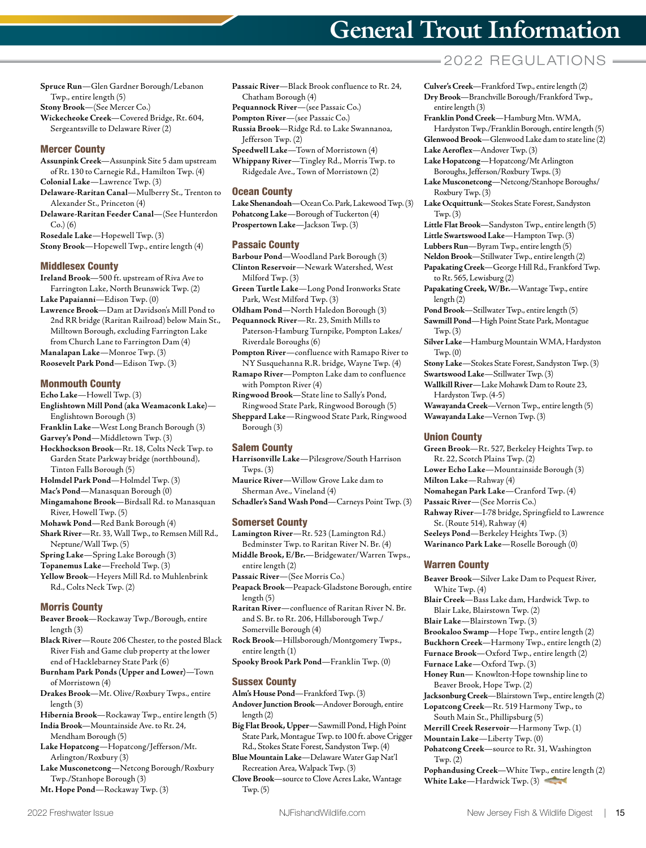**Spruce Run**—Glen Gardner Borough/Lebanon Twp., entire length (5)

**Stony Brook**—(See Mercer Co.)

**Wickecheoke Creek**—Covered Bridge, Rt. 604, Sergeantsville to Delaware River (2)

#### Mercer County

- **Assunpink Creek**—Assunpink Site 5 dam upstream of Rt. 130 to Carnegie Rd., Hamilton Twp. (4) **Colonial Lake**—Lawrence Twp. (3)
- **Delaware-Raritan Canal**—Mulberry St., Trenton to Alexander St., Princeton (4)
- **Delaware-Raritan Feeder Canal**—(See Hunterdon  $Co.$ ) $(6)$
- **Rosedale Lake**—Hopewell Twp. (3)
- **Stony Brook**—Hopewell Twp., entire length (4)

#### Middlesex County

**Ireland Brook**—500 ft. upstream of Riva Ave to Farrington Lake, North Brunswick Twp. (2)

**Lake Papaianni**—Edison Twp. (0)

- **Lawrence Brook**—Dam at Davidson's Mill Pond to 2nd RR bridge (Raritan Railroad) below Main St., Milltown Borough, excluding Farrington Lake from Church Lane to Farrington Dam (4) **Manalapan Lake**—Monroe Twp. (3)
- **Roosevelt Park Pond**—Edison Twp. (3)

#### Monmouth County

**Echo Lake**—Howell Twp. (3)

- **Englishtown Mill Pond (aka Weamaconk Lake)** Englishtown Borough (3)
- **Franklin Lake**—West Long Branch Borough (3)
- **Garvey's Pond**—Middletown Twp. (3)
- **Hockhockson Brook**—Rt. 18, Colts Neck Twp. to Garden State Parkway bridge (northbound), Tinton Falls Borough (5)
- **Holmdel Park Pond**—Holmdel Twp. (3)
- **Mac's Pond**—Manasquan Borough (0)
- **Mingamahone Brook**—Birdsall Rd. to Manasquan River, Howell Twp. (5)
- **Mohawk Pond**—Red Bank Borough (4)
- **Shark River**—Rt. 33, Wall Twp., to Remsen Mill Rd., Neptune/Wall Twp. (5)
- **Spring Lake**—Spring Lake Borough (3)
- **Topanemus Lake**—Freehold Twp. (3)
- **Yellow Brook**—Heyers Mill Rd. to Muhlenbrink Rd., Colts Neck Twp. (2)

#### Morris County

**Beaver Brook**—Rockaway Twp./Borough, entire length (3)

**Black River**—Route 206 Chester, to the posted Black River Fish and Game club property at the lower end of Hacklebarney State Park (6)

- **Burnham Park Ponds (Upper and Lower)**—Town of Morristown (4)
- **Drakes Brook**—Mt. Olive/Roxbury Twps., entire length (3)
- **Hibernia Brook**—Rockaway Twp., entire length (5) **India Brook**—Mountainside Ave. to Rt. 24,
- Mendham Borough (5) **Lake Hopatcong**—Hopatcong/Jefferson/Mt. Arlington/Roxbury (3)
- **Lake Musconetcong**—Netcong Borough/Roxbury Twp./Stanhope Borough (3)
- **Mt. Hope Pond**—Rockaway Twp. (3)
- **Passaic River**—Black Brook confluence to Rt. 24, Chatham Borough (4)
- **Pequannock River**—(see Passaic Co.)
- **Pompton River**—(see Passaic Co.)
- **Russia Brook**—Ridge Rd. to Lake Swannanoa, Jefferson Twp. (2) **Speedwell Lake**—Town of Morristown (4)

**Whippany River**—Tingley Rd., Morris Twp. to Ridgedale Ave., Town of Morristown (2)

#### Ocean County

**Lake Shenandoah**—Ocean Co. Park, Lakewood Twp. (3) **Pohatcong Lake**—Borough of Tuckerton (4) **Prospertown Lake**—Jackson Twp. (3)

#### Passaic County

**Barbour Pond**—Woodland Park Borough (3) **Clinton Reservoir**—Newark Watershed, West Milford Twp. (3)

- **Green Turtle Lake**—Long Pond Ironworks State Park, West Milford Twp. (3)
- **Oldham Pond**—North Haledon Borough (3) **Pequannock River**—Rt. 23, Smith Mills to Paterson-Hamburg Turnpike, Pompton Lakes/ Riverdale Boroughs (6)
- **Pompton River**—confluence with Ramapo River to NY Susquehanna R.R. bridge, Wayne Twp. (4)
- **Ramapo River**—Pompton Lake dam to confluence with Pompton River (4)
- **Ringwood Brook**—State line to Sally's Pond, Ringwood State Park, Ringwood Borough (5) **Sheppard Lake**—Ringwood State Park, Ringwood
- Borough (3)

### Salem County

- **Harrisonville Lake**—Pilesgrove/South Harrison  $Twps.$  $(3)$
- **Maurice River**—Willow Grove Lake dam to Sherman Ave., Vineland (4)
- **Schadler's Sand Wash Pond**—Carneys Point Twp. (3)

#### Somerset County

- **Lamington River**—Rt. 523 (Lamington Rd.) Bedminster Twp. to Raritan River N. Br. (4)
- **Middle Brook, E/Br.**—Bridgewater/Warren Twps., entire length (2)
- **Passaic River**—(See Morris Co.)
- **Peapack Brook**—Peapack-Gladstone Borough, entire length (5)
- **Raritan River**—confluence of Raritan River N. Br. and S. Br. to Rt. 206, Hillsborough Twp./ Somerville Borough (4)
- **Rock Brook**—Hillsborough/Montgomery Twps., entire length (1)
- **Spooky Brook Park Pond**—Franklin Twp. (0)

#### Sussex County

- **Alm's House Pond**—Frankford Twp. (3) **Andover Junction Brook**—Andover Borough, entire length (2)
- **Big Flat Brook, Upper**—Sawmill Pond, High Point State Park, Montague Twp. to 100 ft. above Crigger

Rd., Stokes State Forest, Sandyston Twp. (4) **Blue Mountain Lake**—Delaware Water Gap Nat'l

- Recreation Area, Walpack Twp. (3)
- **Clove Brook**—source to Clove Acres Lake, Wantage Twp. (5)

# **General Trout Information**

## $= 2022$  REGULATIONS  $=$

- **Culver's Creek**—Frankford Twp., entire length (2) **Dry Brook**—Branchville Borough/Frankford Twp., entire length (3)
- **Franklin Pond Creek**—Hamburg Mtn. WMA, Hardyston Twp./Franklin Borough, entire length (5) **Glenwood Brook**—Glenwood Lake dam to state line (2)
- **Lake Aeroflex**—Andover Twp. (3) **Lake Hopatcong**—Hopatcong/Mt Arlington
- Boroughs, Jefferson/Roxbury Twps. (3)
- **Lake Musconetcong**—Netcong/Stanhope Boroughs/ Roxbury Twp. (3)
- **Lake Ocquittunk**—Stokes State Forest, Sandyston Twp. (3)
- **Little Flat Brook**—Sandyston Twp., entire length (5)
- **Little Swartswood Lake**—Hampton Twp. (3)
- **Lubbers Run**—Byram Twp., entire length (5)
- **Neldon Brook**—Stillwater Twp., entire length (2) **Papakating Creek**—George Hill Rd., Frankford Twp. to Rt. 565, Lewisburg (2)
- **Papakating Creek, W/Br.**—Wantage Twp., entire length (2)
- **Pond Brook**—Stillwater Twp., entire length (5)
- **Sawmill Pond**—High Point State Park, Montague Twp. (3)
- **Silver Lake**—Hamburg Mountain WMA, Hardyston Twp. (0)
- **Stony Lake**—Stokes State Forest, Sandyston Twp. (3)
- **Swartswood Lake**—Stillwater Twp. (3) **Wallkill River**—Lake Mohawk Dam to Route 23, Hardyston Twp. (4-5)
- **Wawayanda Creek**—Vernon Twp., entire length (5) **Wawayanda Lake**—Vernon Twp. (3)

#### Union County

- **Green Brook**—Rt. 527, Berkeley Heights Twp. to Rt. 22, Scotch Plains Twp. (2)
- **Lower Echo Lake**—Mountainside Borough (3)
- **Milton Lake**—Rahway (4)
- **Nomahegan Park Lake**—Cranford Twp. (4)
- **Passaic River**—(See Morris Co.)
- **Rahway River**—I-78 bridge, Springfield to Lawrence St. (Route 514), Rahway (4)

**Beaver Brook**—Silver Lake Dam to Pequest River,

**Blair Creek**—Bass Lake dam, Hardwick Twp. to

**Brookaloo Swamp**—Hope Twp., entire length (2) **Buckhorn Creek**—Harmony Twp., entire length (2) **Furnace Brook**—Oxford Twp., entire length (2)

**Honey Run**— Knowlton-Hope township line to

**Pohatcong Creek**—source to Rt. 31, Washington

**Pophandusing Creek**—White Twp., entire length (2) **White Lake**—Hardwick Twp. (3)

**Jacksonburg Creek**—Blairstown Twp., entire length (2) **Lopatcong Creek**—Rt. 519 Harmony Twp., to South Main St., Phillipsburg (5) **Merrill Creek Reservoir**—Harmony Twp. (1) **Mountain Lake**—Liberty Twp. (0)

Blair Lake, Blairstown Twp. (2) **Blair Lake**—Blairstown Twp. (3)

**Furnace Lake**—Oxford Twp. (3)

Beaver Brook, Hope Twp. (2)

- **Seeleys Pond**—Berkeley Heights Twp. (3)
- **Warinanco Park Lake**—Roselle Borough (0)

#### Warren County

White Twp. (4)

Twp. (2)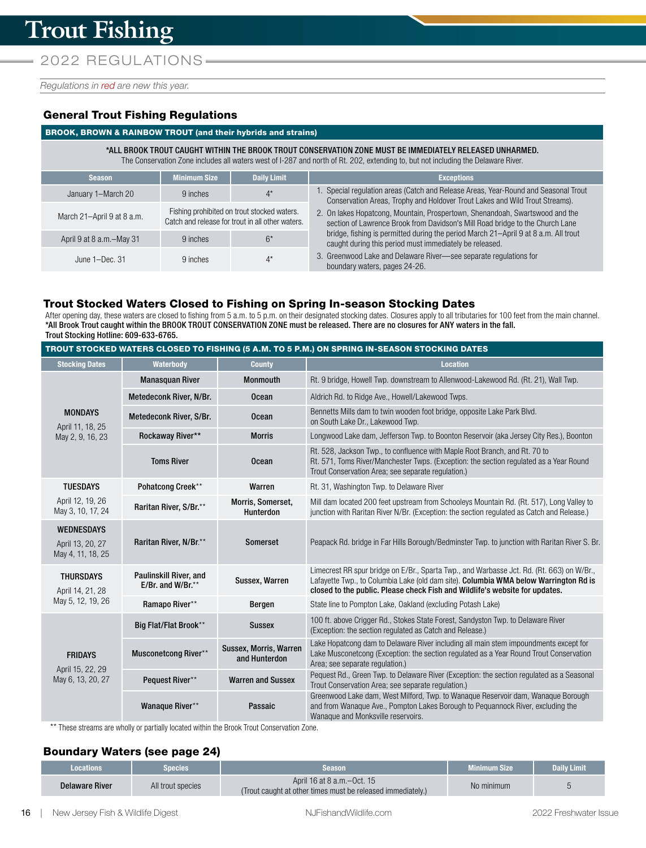*Regulations in red are new this year.* 

## General Trout Fishing Regulations

### BROOK, BROWN & RAINBOW TROUT (and their hybrids and strains)

\*ALL BROOK TROUT CAUGHT WITHIN THE BROOK TROUT CONSERVATION ZONE MUST BE IMMEDIATELY RELEASED UNHARMED. The Conservation Zone includes all waters west of I-287 and north of Rt. 202, extending to, but not including the Delaware River.

| <b>Season</b>              | Minimum Size<br><b>Daily Limit</b>                                                              |       | <b>Exceptions</b>                                                                                                                                                   |  |  |  |  |
|----------------------------|-------------------------------------------------------------------------------------------------|-------|---------------------------------------------------------------------------------------------------------------------------------------------------------------------|--|--|--|--|
| January 1-March 20         | 9 inches                                                                                        | $4^*$ | 1. Special regulation areas (Catch and Release Areas, Year-Round and Seasonal Trout<br>Conservation Areas, Trophy and Holdover Trout Lakes and Wild Trout Streams). |  |  |  |  |
| March 21-April 9 at 8 a.m. | Fishing prohibited on trout stocked waters.<br>Catch and release for trout in all other waters. |       | 2. On lakes Hopatcong, Mountain, Prospertown, Shenandoah, Swartswood and the<br>section of Lawrence Brook from Davidson's Mill Road bridge to the Church Lane       |  |  |  |  |
| April 9 at 8 a.m.-May 31   | 9 inches                                                                                        | $6*$  | bridge, fishing is permitted during the period March 21-April 9 at 8 a.m. All trout<br>caught during this period must immediately be released.                      |  |  |  |  |
| June $1 - Dec. 31$         | 9 inches                                                                                        | $4^*$ | 3. Greenwood Lake and Delaware River-see separate regulations for<br>boundary waters, pages 24-26.                                                                  |  |  |  |  |

## Trout Stocked Waters Closed to Fishing on Spring In-season Stocking Dates

After opening day, these waters are closed to fishing from 5 a.m. to 5 p.m. on their designated stocking dates. Closures apply to all tributaries for 100 feet from the main channel. \*All Brook Trout caught within the BROOK TROUT CONSERVATION ZONE must be released. There are no closures for ANY waters in the fall. Trout Stocking Hotline: 609-633-6765.

| TROUT STOCKED WATERS CLOSED TO FISHING (5 A.M. TO 5 P.M.) ON SPRING IN-SEASON STOCKING DATES |                                                       |                                         |                                                                                                                                                                                                                                                                  |  |  |
|----------------------------------------------------------------------------------------------|-------------------------------------------------------|-----------------------------------------|------------------------------------------------------------------------------------------------------------------------------------------------------------------------------------------------------------------------------------------------------------------|--|--|
| <b>Stocking Dates</b>                                                                        | Waterbody                                             | <b>County</b>                           | <b>Location</b>                                                                                                                                                                                                                                                  |  |  |
|                                                                                              | <b>Manasquan River</b>                                | <b>Monmouth</b>                         | Rt. 9 bridge, Howell Twp. downstream to Allenwood-Lakewood Rd. (Rt. 21), Wall Twp.                                                                                                                                                                               |  |  |
|                                                                                              | Metedeconk River, N/Br.                               | <b>Ocean</b>                            | Aldrich Rd. to Ridge Ave., Howell/Lakewood Twps.                                                                                                                                                                                                                 |  |  |
| <b>MONDAYS</b><br>April 11, 18, 25                                                           | Metedeconk River, S/Br.                               | <b>Ocean</b>                            | Bennetts Mills dam to twin wooden foot bridge, opposite Lake Park Blvd.<br>on South Lake Dr., Lakewood Twp.                                                                                                                                                      |  |  |
| May 2, 9, 16, 23                                                                             | Rockaway River**                                      | <b>Morris</b>                           | Longwood Lake dam, Jefferson Twp. to Boonton Reservoir (aka Jersey City Res.), Boonton                                                                                                                                                                           |  |  |
|                                                                                              | <b>Toms River</b>                                     | Ocean                                   | Rt. 528, Jackson Twp., to confluence with Maple Root Branch, and Rt. 70 to<br>Rt. 571, Toms River/Manchester Twps. (Exception: the section regulated as a Year Round<br>Trout Conservation Area; see separate regulation.)                                       |  |  |
| <b>TUESDAYS</b>                                                                              | Pohatcong Creek**                                     | Warren                                  | Rt. 31, Washington Twp. to Delaware River                                                                                                                                                                                                                        |  |  |
| April 12, 19, 26<br>May 3, 10, 17, 24                                                        | Raritan River, S/Br.**                                | Morris, Somerset,<br><b>Hunterdon</b>   | Mill dam located 200 feet upstream from Schooleys Mountain Rd. (Rt. 517), Long Valley to<br>junction with Raritan River N/Br. (Exception: the section regulated as Catch and Release.)                                                                           |  |  |
| <b>WEDNESDAYS</b><br>April 13, 20, 27<br>May 4, 11, 18, 25                                   | Raritan River, N/Br.**                                | <b>Somerset</b>                         | Peapack Rd. bridge in Far Hills Borough/Bedminster Twp. to junction with Raritan River S. Br.                                                                                                                                                                    |  |  |
| <b>THURSDAYS</b><br>April 14, 21, 28                                                         | <b>Paulinskill River, and</b><br>E/Br. and W/Br. $**$ | Sussex, Warren                          | Limecrest RR spur bridge on E/Br., Sparta Twp., and Warbasse Jct. Rd. (Rt. 663) on W/Br.,<br>Lafayette Twp., to Columbia Lake (old dam site). Columbia WMA below Warrington Rd is<br>closed to the public. Please check Fish and Wildlife's website for updates. |  |  |
| May 5, 12, 19, 26                                                                            | Ramapo River**                                        | Bergen                                  | State line to Pompton Lake, Oakland (excluding Potash Lake)                                                                                                                                                                                                      |  |  |
|                                                                                              | Big Flat/Flat Brook**                                 | <b>Sussex</b>                           | 100 ft. above Crigger Rd., Stokes State Forest, Sandyston Twp. to Delaware River<br>(Exception: the section regulated as Catch and Release.)                                                                                                                     |  |  |
| <b>FRIDAYS</b><br>April 15, 22, 29<br>May 6, 13, 20, 27                                      | <b>Musconetcong River**</b>                           | Sussex, Morris, Warren<br>and Hunterdon | Lake Hopatcong dam to Delaware River including all main stem impoundments except for<br>Lake Musconetcong (Exception: the section regulated as a Year Round Trout Conservation<br>Area; see separate regulation.)                                                |  |  |
|                                                                                              | Pequest River**                                       | <b>Warren and Sussex</b>                | Pequest Rd., Green Twp. to Delaware River (Exception: the section regulated as a Seasonal<br>Trout Conservation Area; see separate regulation.)                                                                                                                  |  |  |
|                                                                                              | Wanaque River**                                       | Passaic                                 | Greenwood Lake dam, West Milford, Twp. to Wanaque Reservoir dam, Wanaque Borough<br>and from Wanaque Ave., Pompton Lakes Borough to Pequannock River, excluding the<br>Wanaque and Monksville reservoirs.                                                        |  |  |

\*\* These streams are wholly or partially located within the Brook Trout Conservation Zone.

## Boundary Waters (see page 24)

| <b>Locations</b>      | Species           | <b>Season</b>                                                                               | <b>Minimum Size</b> | <b>Daily Limit</b> |
|-----------------------|-------------------|---------------------------------------------------------------------------------------------|---------------------|--------------------|
| <b>Delaware River</b> | All trout species | April 16 at 8 a.m. - Oct. 15<br>(Trout caught at other times must be released immediately.) | No minimum          |                    |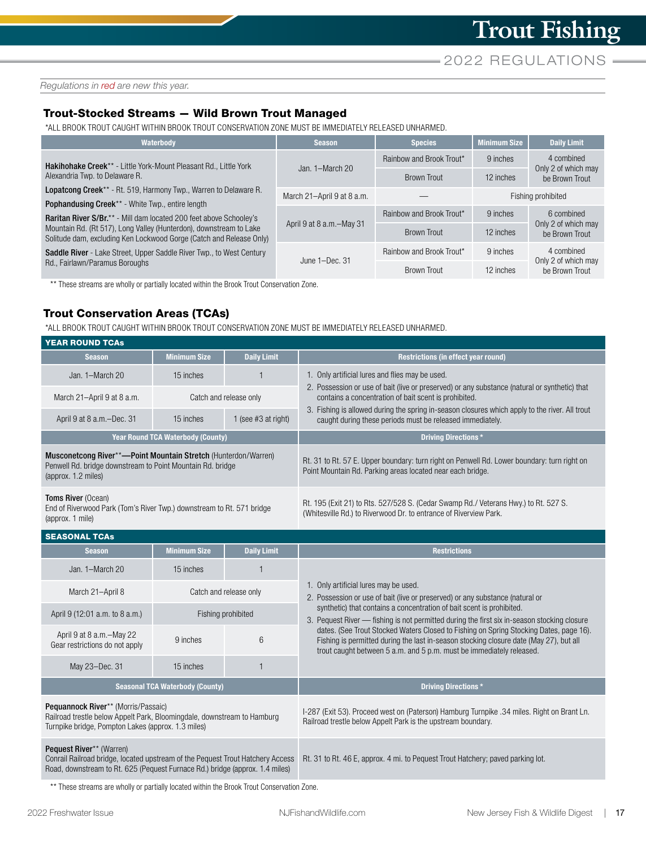*Regulations in red are new this year.* 

## Trout-Stocked Streams — Wild Brown Trout Managed

\*ALL BROOK TROUT CAUGHT WITHIN BROOK TROUT CONSERVATION ZONE MUST BE IMMEDIATELY RELEASED UNHARMED.

| Waterbody                                                                                                                                                                                                                                                                                                                                                        | <b>Season</b>              | <b>Species</b>           | <b>Minimum Size</b> | <b>Daily Limit</b>                    |  |
|------------------------------------------------------------------------------------------------------------------------------------------------------------------------------------------------------------------------------------------------------------------------------------------------------------------------------------------------------------------|----------------------------|--------------------------|---------------------|---------------------------------------|--|
| <b>Hakihohake Creek**</b> - Little York-Mount Pleasant Rd., Little York                                                                                                                                                                                                                                                                                          |                            | Rainbow and Brook Trout* | 9 inches            | 4 combined                            |  |
| Alexandria Twp. to Delaware R.                                                                                                                                                                                                                                                                                                                                   | Jan. $1-March 20$          | <b>Brown Trout</b>       | 12 inches           | Only 2 of which may<br>be Brown Trout |  |
| Lopatcong Creek <sup>**</sup> - Rt. 519, Harmony Twp., Warren to Delaware R.                                                                                                                                                                                                                                                                                     | March 21-April 9 at 8 a.m. |                          | Fishing prohibited  |                                       |  |
| <b>Pophandusing Creek**</b> - White Twp., entire length<br><b>Raritan River S/Br.**</b> - Mill dam located 200 feet above Schooley's<br>Mountain Rd. (Rt 517), Long Valley (Hunterdon), downstream to Lake<br>Solitude dam, excluding Ken Lockwood Gorge (Catch and Release Only)<br><b>Saddle River</b> - Lake Street, Upper Saddle River Twp., to West Century | April 9 at 8 a.m.-May 31   | Rainbow and Brook Trout* | 9 inches            | 6 combined                            |  |
|                                                                                                                                                                                                                                                                                                                                                                  |                            | <b>Brown Trout</b>       | 12 inches           | Only 2 of which may<br>be Brown Trout |  |
|                                                                                                                                                                                                                                                                                                                                                                  | June $1 - Dec.$ 31         | Rainbow and Brook Trout* | 9 inches            | 4 combined                            |  |
| Rd., Fairlawn/Paramus Boroughs                                                                                                                                                                                                                                                                                                                                   |                            | Brown Trout              | 12 inches           | Only 2 of which may<br>be Brown Trout |  |

\*\* These streams are wholly or partially located within the Brook Trout Conservation Zone.

## Trout Conservation Areas (TCAs)

\*ALL BROOK TROUT CAUGHT WITHIN BROOK TROUT CONSERVATION ZONE MUST BE IMMEDIATELY RELEASED UNHARMED.

| <b>YEAR ROUND TCAS</b>                                                                                                                                                                     |                                          |                        |                                                                                                                                                                                                                                                                                                |  |  |  |
|--------------------------------------------------------------------------------------------------------------------------------------------------------------------------------------------|------------------------------------------|------------------------|------------------------------------------------------------------------------------------------------------------------------------------------------------------------------------------------------------------------------------------------------------------------------------------------|--|--|--|
| <b>Season</b>                                                                                                                                                                              | <b>Minimum Size</b>                      | <b>Daily Limit</b>     | Restrictions (in effect year round)                                                                                                                                                                                                                                                            |  |  |  |
| Jan. 1-March 20                                                                                                                                                                            | 15 inches                                | $\overline{1}$         | 1. Only artificial lures and flies may be used.                                                                                                                                                                                                                                                |  |  |  |
| March 21-April 9 at 8 a.m.                                                                                                                                                                 |                                          | Catch and release only | 2. Possession or use of bait (live or preserved) or any substance (natural or synthetic) that<br>contains a concentration of bait scent is prohibited.                                                                                                                                         |  |  |  |
| April 9 at 8 a.m.-Dec. 31                                                                                                                                                                  | 15 inches                                | 1 (see $#3$ at right)  | 3. Fishing is allowed during the spring in-season closures which apply to the river. All trout<br>caught during these periods must be released immediately.                                                                                                                                    |  |  |  |
|                                                                                                                                                                                            | <b>Year Round TCA Waterbody (County)</b> |                        | <b>Driving Directions*</b>                                                                                                                                                                                                                                                                     |  |  |  |
| Musconetcong River**-Point Mountain Stretch (Hunterdon/Warren)<br>Penwell Rd. bridge downstream to Point Mountain Rd. bridge<br>(approx. 1.2 miles)                                        |                                          |                        | Rt. 31 to Rt. 57 E. Upper boundary: turn right on Penwell Rd. Lower boundary: turn right on<br>Point Mountain Rd. Parking areas located near each bridge.                                                                                                                                      |  |  |  |
| Toms River (Ocean)<br>End of Riverwood Park (Tom's River Twp.) downstream to Rt. 571 bridge<br>(approx. 1 mile)                                                                            |                                          |                        | Rt. 195 (Exit 21) to Rts. 527/528 S. (Cedar Swamp Rd./ Veterans Hwy.) to Rt. 527 S.<br>(Whitesville Rd.) to Riverwood Dr. to entrance of Riverview Park.                                                                                                                                       |  |  |  |
| <b>SEASONAL TCAs</b>                                                                                                                                                                       |                                          |                        |                                                                                                                                                                                                                                                                                                |  |  |  |
| <b>Season</b>                                                                                                                                                                              | <b>Minimum Size</b>                      | <b>Daily Limit</b>     | <b>Restrictions</b>                                                                                                                                                                                                                                                                            |  |  |  |
| Jan. 1-March 20                                                                                                                                                                            | 15 inches                                | 1                      |                                                                                                                                                                                                                                                                                                |  |  |  |
| March 21-April 8                                                                                                                                                                           |                                          | Catch and release only | 1. Only artificial lures may be used.<br>2. Possession or use of bait (live or preserved) or any substance (natural or<br>synthetic) that contains a concentration of bait scent is prohibited.<br>3. Pequest River — fishing is not permitted during the first six in-season stocking closure |  |  |  |
| April 9 (12:01 a.m. to 8 a.m.)                                                                                                                                                             |                                          | Fishing prohibited     |                                                                                                                                                                                                                                                                                                |  |  |  |
| April 9 at 8 a.m.-May 22<br>Gear restrictions do not apply                                                                                                                                 | 9 inches                                 | $6\phantom{1}$         | dates. (See Trout Stocked Waters Closed to Fishing on Spring Stocking Dates, page 16).<br>Fishing is permitted during the last in-season stocking closure date (May 27), but all<br>trout caught between 5 a.m. and 5 p.m. must be immediately released.                                       |  |  |  |
| May 23-Dec. 31                                                                                                                                                                             | 15 inches                                | 1                      |                                                                                                                                                                                                                                                                                                |  |  |  |
| <b>Seasonal TCA Waterbody (County)</b>                                                                                                                                                     |                                          |                        | <b>Driving Directions*</b>                                                                                                                                                                                                                                                                     |  |  |  |
| Pequannock River** (Morris/Passaic)<br>Railroad trestle below Appelt Park, Bloomingdale, downstream to Hamburg<br>Turnpike bridge, Pompton Lakes (approx. 1.3 miles)                       |                                          |                        | I-287 (Exit 53). Proceed west on (Paterson) Hamburg Turnpike .34 miles. Right on Brant Ln.<br>Railroad trestle below Appelt Park is the upstream boundary.                                                                                                                                     |  |  |  |
| Pequest River** (Warren)<br>Conrail Railroad bridge, located upstream of the Pequest Trout Hatchery Access<br>Road, downstream to Rt. 625 (Pequest Furnace Rd.) bridge (approx. 1.4 miles) |                                          |                        | Rt. 31 to Rt. 46 E, approx. 4 mi. to Pequest Trout Hatchery; paved parking lot.                                                                                                                                                                                                                |  |  |  |

\*\* These streams are wholly or partially located within the Brook Trout Conservation Zone.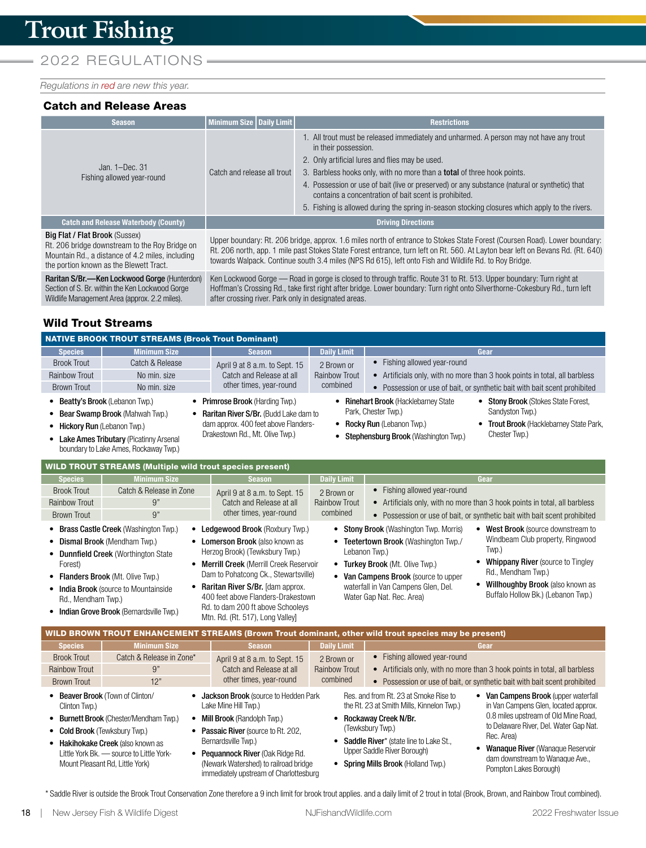## 2022 REGULATIONS-

*Regulations in red are new this year.* 

#### Catch and Release Areas

| <b>Season</b>                                  | Minimum Size   Daily Limit  | <b>Restrictions</b>                                                                                                                                                                                                                                                                                                                                                                                                                                                                                              |  |
|------------------------------------------------|-----------------------------|------------------------------------------------------------------------------------------------------------------------------------------------------------------------------------------------------------------------------------------------------------------------------------------------------------------------------------------------------------------------------------------------------------------------------------------------------------------------------------------------------------------|--|
| Jan. $1-Dec.$ 31<br>Fishing allowed year-round | Catch and release all trout | 1. All trout must be released immediately and unharmed. A person may not have any trout<br>in their possession.<br>2. Only artificial lures and flies may be used.<br>3. Barbless hooks only, with no more than a <b>total</b> of three hook points.<br>4. Possession or use of bait (live or preserved) or any substance (natural or synthetic) that<br>contains a concentration of bait scent is prohibited.<br>5. Fishing is allowed during the spring in-season stocking closures which apply to the rivers. |  |
| <b>Catch and Release Waterbody (County)</b>    | <b>Driving Directions</b>   |                                                                                                                                                                                                                                                                                                                                                                                                                                                                                                                  |  |
|                                                |                             |                                                                                                                                                                                                                                                                                                                                                                                                                                                                                                                  |  |

#### Big Flat / Flat Brook (Sussex)

Rt. 206 bridge downstream to the Roy Bridge on Mountain Rd., a distance of 4.2 miles, including the portion known as the Blewett Tract.

Raritan S/Br.—Ken Lockwood Gorge (Hunterdon) Section of S. Br. within the Ken Lockwood Gorge Wildlife Management Area (approx. 2.2 miles).

Upper boundary: Rt. 206 bridge, approx. 1.6 miles north of entrance to Stokes State Forest (Coursen Road). Lower boundary: Rt. 206 north, app. 1 mile past Stokes State Forest entrance, turn left on Rt. 560. At Layton bear left on Bevans Rd. (Rt. 640) towards Walpack. Continue south 3.4 miles (NPS Rd 615), left onto Fish and Wildlife Rd. to Roy Bridge.

Ken Lockwood Gorge — Road in gorge is closed to through traffic. Route 31 to Rt. 513. Upper boundary: Turn right at Hoffman's Crossing Rd., take first right after bridge. Lower boundary: Turn right onto Silverthorne-Cokesbury Rd., turn left after crossing river. Park only in designated areas.

## Wild Trout Streams

|                                                                 | <b>NATIVE BROOK TROUT STREAMS (Brook Trout Dominant)</b>                                                                                                                                                                                        |                                                                                                                                                                                                                                                                                                                                                               |                    |                                                                                                                                                                                                                                                                                                                                                                                                                                                                            |  |
|-----------------------------------------------------------------|-------------------------------------------------------------------------------------------------------------------------------------------------------------------------------------------------------------------------------------------------|---------------------------------------------------------------------------------------------------------------------------------------------------------------------------------------------------------------------------------------------------------------------------------------------------------------------------------------------------------------|--------------------|----------------------------------------------------------------------------------------------------------------------------------------------------------------------------------------------------------------------------------------------------------------------------------------------------------------------------------------------------------------------------------------------------------------------------------------------------------------------------|--|
| <b>Species</b>                                                  | <b>Minimum Size</b>                                                                                                                                                                                                                             | <b>Season</b>                                                                                                                                                                                                                                                                                                                                                 | <b>Daily Limit</b> | Gear                                                                                                                                                                                                                                                                                                                                                                                                                                                                       |  |
| <b>Brook Trout</b>                                              | Catch & Release                                                                                                                                                                                                                                 | April 9 at 8 a.m. to Sept. 15                                                                                                                                                                                                                                                                                                                                 | 2 Brown or         | • Fishing allowed year-round                                                                                                                                                                                                                                                                                                                                                                                                                                               |  |
| <b>Rainbow Trout</b>                                            | No min. size                                                                                                                                                                                                                                    | Catch and Release at all                                                                                                                                                                                                                                                                                                                                      | Rainbow Trout      | • Artificials only, with no more than 3 hook points in total, all barbless                                                                                                                                                                                                                                                                                                                                                                                                 |  |
| <b>Brown Trout</b>                                              | No min. size                                                                                                                                                                                                                                    | other times, year-round                                                                                                                                                                                                                                                                                                                                       | combined           | • Possession or use of bait, or synthetic bait with bait scent prohibited                                                                                                                                                                                                                                                                                                                                                                                                  |  |
| • Beatty's Brook (Lebanon Twp.)<br>• Hickory Run (Lebanon Twp.) | • Bear Swamp Brook (Mahwah Twp.)<br>• Lake Ames Tributary (Picatinny Arsenal<br>boundary to Lake Ames, Rockaway Twp.)                                                                                                                           | • Primrose Brook (Harding Twp.)<br>Raritan River S/Br. (Budd Lake dam to<br>dam approx. 400 feet above Flanders-<br>Drakestown Rd., Mt. Olive Twp.)                                                                                                                                                                                                           |                    | • Rinehart Brook (Hacklebarney State<br>• Stony Brook (Stokes State Forest,<br>Park, Chester Twp.)<br>Sandyston Twp.)<br>• Rocky Run (Lebanon Twp.)<br>Trout Brook (Hacklebarney State Park,<br>Chester Twp.)<br>• Stephensburg Brook (Washington Twp.)                                                                                                                                                                                                                    |  |
|                                                                 | <b>WILD TROUT STREAMS (Multiple wild trout species present)</b>                                                                                                                                                                                 |                                                                                                                                                                                                                                                                                                                                                               |                    |                                                                                                                                                                                                                                                                                                                                                                                                                                                                            |  |
| <b>Species</b>                                                  | <b>Minimum Size</b>                                                                                                                                                                                                                             | <b>Season</b>                                                                                                                                                                                                                                                                                                                                                 | <b>Daily Limit</b> | Gear                                                                                                                                                                                                                                                                                                                                                                                                                                                                       |  |
| <b>Brook Trout</b>                                              | Catch & Release in Zone                                                                                                                                                                                                                         | April 9 at 8 a.m. to Sept. 15                                                                                                                                                                                                                                                                                                                                 | 2 Brown or         | • Fishing allowed year-round                                                                                                                                                                                                                                                                                                                                                                                                                                               |  |
| <b>Rainbow Trout</b>                                            | 9"                                                                                                                                                                                                                                              | Catch and Release at all                                                                                                                                                                                                                                                                                                                                      | Rainbow Trout      | • Artificials only, with no more than 3 hook points in total, all barbless                                                                                                                                                                                                                                                                                                                                                                                                 |  |
| <b>Brown Trout</b>                                              | 9"                                                                                                                                                                                                                                              | other times, year-round                                                                                                                                                                                                                                                                                                                                       | combined           | • Possession or use of bait, or synthetic bait with bait scent prohibited                                                                                                                                                                                                                                                                                                                                                                                                  |  |
| Forest)<br>Rd., Mendham Twp.)                                   | • Brass Castle Creek (Washington Twp.)<br>• Dismal Brook (Mendham Twp.)<br><b>Dunnfield Creek (Worthington State</b><br>• Flanders Brook (Mt. Olive Twp.)<br>• India Brook (source to Mountainside<br>• Indian Grove Brook (Bernardsville Twp.) | <b>Ledgewood Brook</b> (Roxbury Twp.)<br>• Lomerson Brook (also known as<br>Herzog Brook) (Tewksbury Twp.)<br><b>Merrill Creek (Merrill Creek Reservoir</b><br>Dam to Pohatcong Ck., Stewartsville)<br><b>Raritan River S/Br.</b> [dam approx.<br>400 feet above Flanders-Drakestown<br>Rd. to dam 200 ft above Schooleys<br>Mtn. Rd. (Rt. 517), Long Valley] |                    | <b>Stony Brook</b> (Washington Twp. Morris)<br>West Brook (source downstream to<br>Windbeam Club property, Ringwood<br>Teetertown Brook (Washington Twp./<br>Twp.)<br>Lebanon Twp.)<br><b>Whippany River</b> (source to Tingley<br>Turkey Brook (Mt. Olive Twp.)<br>Rd., Mendham Twp.)<br>Van Campens Brook (source to upper<br>Willhoughby Brook (also known as<br>waterfall in Van Campens Glen, Del.<br>Buffalo Hollow Bk.) (Lebanon Twp.)<br>Water Gap Nat. Rec. Area) |  |
|                                                                 |                                                                                                                                                                                                                                                 |                                                                                                                                                                                                                                                                                                                                                               |                    | WILD BROWN TROUT ENHANCEMENT STREAMS (Brown Trout dominant, other wild trout species may be present)                                                                                                                                                                                                                                                                                                                                                                       |  |

| <u>WILD DNOWN TNOUT ENNANCEMENT 3TNEAMS (DIUWII TIUUL UUIIIIIAIIL, ULIICI WIIU LIUUL SPECIES IIIAY DE PIESEILI)</u> |                                                                                                                                                                                                |                                                                                                                                                                                                                                                                                         |                    |                                                                                                                                                                                                                                                                                                                                                                                                                                                                                                                                       |  |  |  |
|---------------------------------------------------------------------------------------------------------------------|------------------------------------------------------------------------------------------------------------------------------------------------------------------------------------------------|-----------------------------------------------------------------------------------------------------------------------------------------------------------------------------------------------------------------------------------------------------------------------------------------|--------------------|---------------------------------------------------------------------------------------------------------------------------------------------------------------------------------------------------------------------------------------------------------------------------------------------------------------------------------------------------------------------------------------------------------------------------------------------------------------------------------------------------------------------------------------|--|--|--|
| <b>Species</b>                                                                                                      | <b>Minimum Size</b>                                                                                                                                                                            | <b>Season</b>                                                                                                                                                                                                                                                                           | <b>Daily Limit</b> | Gear                                                                                                                                                                                                                                                                                                                                                                                                                                                                                                                                  |  |  |  |
| <b>Brook Trout</b>                                                                                                  | Catch & Release in Zone*                                                                                                                                                                       | April 9 at 8 a.m. to Sept. 15                                                                                                                                                                                                                                                           | 2 Brown or         | • Fishing allowed year-round                                                                                                                                                                                                                                                                                                                                                                                                                                                                                                          |  |  |  |
| Rainbow Trout                                                                                                       | 9"                                                                                                                                                                                             | Catch and Release at all                                                                                                                                                                                                                                                                | Rainbow Trout      | • Artificials only, with no more than 3 hook points in total, all barbless                                                                                                                                                                                                                                                                                                                                                                                                                                                            |  |  |  |
| Brown Trout                                                                                                         | 12"                                                                                                                                                                                            | other times, year-round                                                                                                                                                                                                                                                                 | combined           | • Possession or use of bait, or synthetic bait with bait scent prohibited                                                                                                                                                                                                                                                                                                                                                                                                                                                             |  |  |  |
| Clinton Twp.)<br>• Cold Brook (Tewksbury Twp.)                                                                      | • Beaver Brook (Town of Clinton/<br>• Burnett Brook (Chester/Mendham Twp.)<br>• Hakihokake Creek (also known as<br>Little York Bk. - source to Little York-<br>Mount Pleasant Rd, Little York) | <b>Jackson Brook</b> (source to Hedden Park<br>Lake Mine Hill Twp.)<br>Mill Brook (Randolph Twp.)<br>• Passaic River (source to Rt. 202.<br>Bernardsville Twp.)<br>• Pequannock River (Oak Ridge Rd.<br>(Newark Watershed) to railroad bridge<br>immediately upstream of Charlottesburg |                    | • Van Campens Brook (upper waterfall<br>Res. and from Rt. 23 at Smoke Rise to<br>in Van Campens Glen, located approx.<br>the Rt. 23 at Smith Mills, Kinnelon Twp.)<br>0.8 miles upstream of Old Mine Road,<br>• Rockaway Creek N/Br.<br>to Delaware River, Del. Water Gap Nat.<br>(Tewksbury Twp.)<br>Rec. Area)<br>• Saddle River* (state line to Lake St.,<br>• Wanaque River (Wanaque Reservoir<br>Upper Saddle River Borough)<br>dam downstream to Wanaque Ave.,<br>• Spring Mills Brook (Holland Twp.)<br>Pompton Lakes Borough) |  |  |  |

\* Saddle River is outside the Brook Trout Conservation Zone therefore a 9 inch limit for brook trout applies. and a daily limit of 2 trout in total (Brook, Brown, and Rainbow Trout combined).